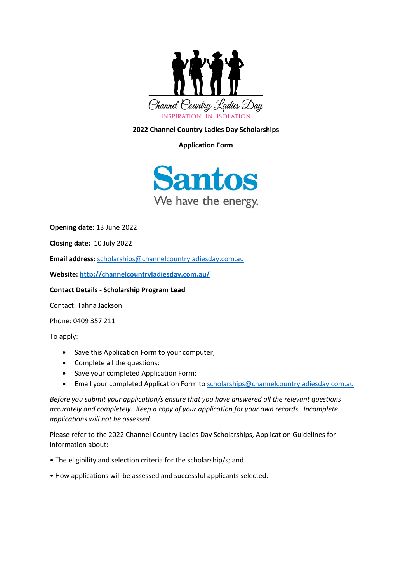

# **2022 Channel Country Ladies Day Scholarships**

## **Application Form**



**Opening date:** 13 June 2022

**Closing date:** 10 July 2022

**Email address:** [scholarships@channelcountryladiesday.com.au](mailto:scholarships@channelcountryladiesday.com.au)

**Website:<http://channelcountryladiesday.com.au/>**

#### **Contact Details - Scholarship Program Lead**

Contact: Tahna Jackson

Phone: 0409 357 211

To apply:

- Save this Application Form to your computer;
- Complete all the questions;
- Save your completed Application Form;
- Email your completed Application Form to [scholarships@channelcountryladiesday.com.au](mailto:scholarships@channelcountryladiesday.com.au)

*Before you submit your application/s ensure that you have answered all the relevant questions accurately and completely. Keep a copy of your application for your own records. Incomplete applications will not be assessed.* 

Please refer to the 2022 Channel Country Ladies Day Scholarships, Application Guidelines for information about:

- The eligibility and selection criteria for the scholarship/s; and
- How applications will be assessed and successful applicants selected.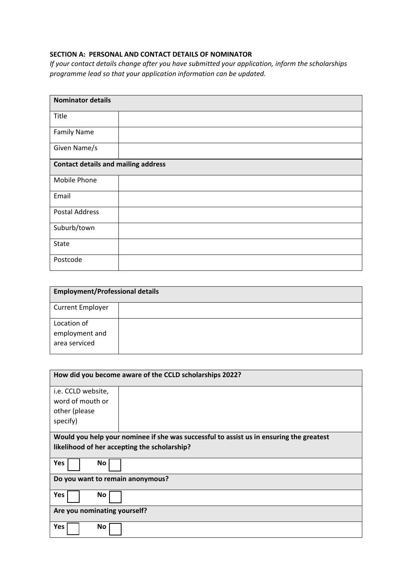## **SECTION A: PERSONAL AND CONTACT DETAILS OF NOMINATOR**

*If your contact details change after you have submitted your application, inform the scholarships programme lead so that your application information can be updated.*

| <b>Nominator details</b>                   |  |  |
|--------------------------------------------|--|--|
| Title                                      |  |  |
| <b>Family Name</b>                         |  |  |
| Given Name/s                               |  |  |
| <b>Contact details and mailing address</b> |  |  |
| Mobile Phone                               |  |  |
| Email                                      |  |  |
| <b>Postal Address</b>                      |  |  |
| Suburb/town                                |  |  |
| State                                      |  |  |
| Postcode                                   |  |  |

| <b>Employment/Professional details</b>         |  |  |
|------------------------------------------------|--|--|
| <b>Current Employer</b>                        |  |  |
| Location of<br>employment and<br>area serviced |  |  |

| How did you become aware of the CCLD scholarships 2022?                                 |  |  |
|-----------------------------------------------------------------------------------------|--|--|
| i.e. CCLD website,                                                                      |  |  |
| word of mouth or                                                                        |  |  |
| other (please                                                                           |  |  |
| specify)                                                                                |  |  |
| Would you help your nominee if she was successful to assist us in ensuring the greatest |  |  |
| likelihood of her accepting the scholarship?                                            |  |  |
| Yes<br>No                                                                               |  |  |
| Do you want to remain anonymous?                                                        |  |  |
| Yes<br>No                                                                               |  |  |
| Are you nominating yourself?                                                            |  |  |
| Yes<br>No                                                                               |  |  |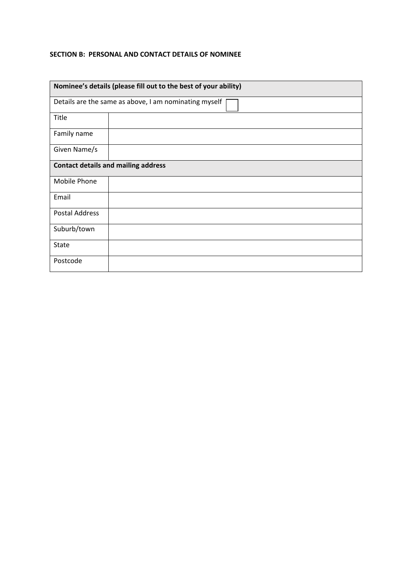#### **SECTION B: PERSONAL AND CONTACT DETAILS OF NOMINEE**

| Nominee's details (please fill out to the best of your ability) |  |  |  |
|-----------------------------------------------------------------|--|--|--|
| Details are the same as above, I am nominating myself           |  |  |  |
| Title                                                           |  |  |  |
| Family name                                                     |  |  |  |
| Given Name/s                                                    |  |  |  |
| <b>Contact details and mailing address</b>                      |  |  |  |
| Mobile Phone                                                    |  |  |  |
| Email                                                           |  |  |  |
| <b>Postal Address</b>                                           |  |  |  |
| Suburb/town                                                     |  |  |  |
| <b>State</b>                                                    |  |  |  |
| Postcode                                                        |  |  |  |